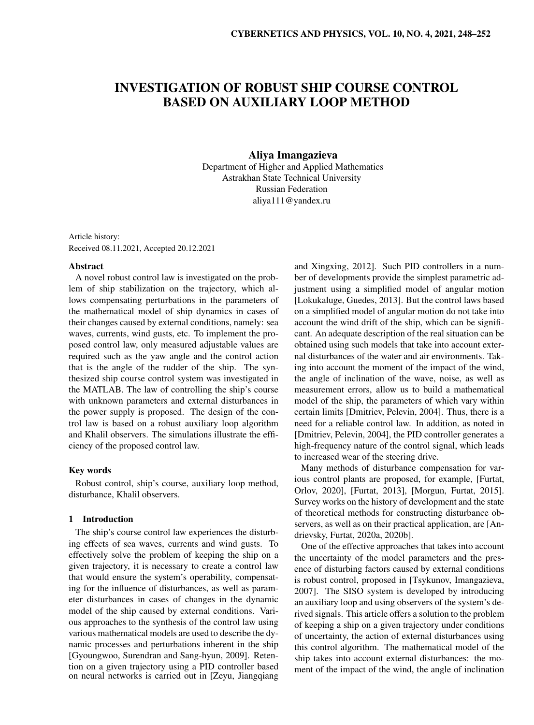# INVESTIGATION OF ROBUST SHIP COURSE CONTROL BASED ON AUXILIARY LOOP METHOD

# Aliya Imangazieva

Department of Higher and Applied Mathematics Astrakhan State Technical University Russian Federation aliya111@yandex.ru

Article history: Received 08.11.2021, Accepted 20.12.2021

#### Abstract

A novel robust control law is investigated on the problem of ship stabilization on the trajectory, which allows compensating perturbations in the parameters of the mathematical model of ship dynamics in cases of their changes caused by external conditions, namely: sea waves, currents, wind gusts, etc. To implement the proposed control law, only measured adjustable values are required such as the yaw angle and the control action that is the angle of the rudder of the ship. The synthesized ship course control system was investigated in the MATLAB. The law of controlling the ship's course with unknown parameters and external disturbances in the power supply is proposed. The design of the control law is based on a robust auxiliary loop algorithm and Khalil observers. The simulations illustrate the efficiency of the proposed control law.

## Key words

Robust control, ship's course, auxiliary loop method, disturbance, Khalil observers.

## 1 Introduction

The ship's course control law experiences the disturbing effects of sea waves, currents and wind gusts. To effectively solve the problem of keeping the ship on a given trajectory, it is necessary to create a control law that would ensure the system's operability, compensating for the influence of disturbances, as well as parameter disturbances in cases of changes in the dynamic model of the ship caused by external conditions. Various approaches to the synthesis of the control law using various mathematical models are used to describe the dynamic processes and perturbations inherent in the ship [Gyoungwoo, Surendran and Sang-hyun, 2009]. Retention on a given trajectory using a PID controller based on neural networks is carried out in [Zeyu, Jiangqiang and Xingxing, 2012]. Such PID controllers in a number of developments provide the simplest parametric adjustment using a simplified model of angular motion [Lokukaluge, Guedes, 2013]. But the control laws based on a simplified model of angular motion do not take into account the wind drift of the ship, which can be significant. An adequate description of the real situation can be obtained using such models that take into account external disturbances of the water and air environments. Taking into account the moment of the impact of the wind, the angle of inclination of the wave, noise, as well as measurement errors, allow us to build a mathematical model of the ship, the parameters of which vary within certain limits [Dmitriev, Pelevin, 2004]. Thus, there is a need for a reliable control law. In addition, as noted in [Dmitriev, Pelevin, 2004], the PID controller generates a high-frequency nature of the control signal, which leads to increased wear of the steering drive.

Many methods of disturbance compensation for various control plants are proposed, for example, [Furtat, Orlov, 2020], [Furtat, 2013], [Morgun, Furtat, 2015]. Survey works on the history of development and the state of theoretical methods for constructing disturbance observers, as well as on their practical application, are [Andrievsky, Furtat, 2020a, 2020b].

One of the effective approaches that takes into account the uncertainty of the model parameters and the presence of disturbing factors caused by external conditions is robust control, proposed in [Tsykunov, Imangazieva, 2007]. The SISO system is developed by introducing an auxiliary loop and using observers of the system's derived signals. This article offers a solution to the problem of keeping a ship on a given trajectory under conditions of uncertainty, the action of external disturbances using this control algorithm. The mathematical model of the ship takes into account external disturbances: the moment of the impact of the wind, the angle of inclination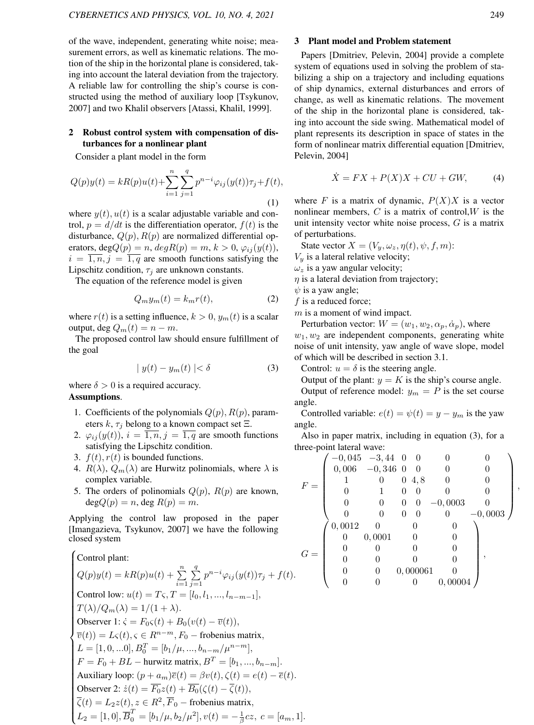of the wave, independent, generating white noise; measurement errors, as well as kinematic relations. The motion of the ship in the horizontal plane is considered, taking into account the lateral deviation from the trajectory. A reliable law for controlling the ship's course is constructed using the method of auxiliary loop [Tsykunov, 2007] and two Khalil observers [Atassi, Khalil, 1999].

## 2 Robust control system with compensation of disturbances for a nonlinear plant

Consider a plant model in the form

$$
Q(p)y(t) = kR(p)u(t) + \sum_{i=1}^{n} \sum_{j=1}^{q} p^{n-i} \varphi_{ij}(y(t)) \tau_j + f(t),
$$
\n(1)

where  $y(t)$ ,  $u(t)$  is a scalar adjustable variable and control,  $p = d/dt$  is the differentiation operator,  $f(t)$  is the disturbance,  $Q(p)$ ,  $R(p)$  are normalized differential operators, deg $Q(p) = n$ ,  $deg R(p) = m$ ,  $k > 0$ ,  $\varphi_{ij}(y(t))$ ,  $i = \overline{1, n}, j = \overline{1, q}$  are smooth functions satisfying the Lipschitz condition,  $\tau_i$  are unknown constants.

The equation of the reference model is given

$$
Q_m y_m(t) = k_m r(t),\tag{2}
$$

where  $r(t)$  is a setting influence,  $k > 0$ ,  $y_m(t)$  is a scalar output, deg  $Q_m(t) = n - m$ .

The proposed control law should ensure fulfillment of the goal

$$
|y(t) - y_m(t)| < \delta \tag{3}
$$

where  $\delta > 0$  is a required accuracy. Assumptions.

- 1. Coefficients of the polynomials  $Q(p)$ ,  $R(p)$ , parameters  $k$ ,  $\tau_j$  belong to a known compact set  $\Xi$ .
- 2.  $\varphi_{ij}(y(t))$ ,  $i = \overline{1, n}, j = \overline{1, q}$  are smooth functions satisfying the Lipschitz condition.
- 3.  $f(t)$ ,  $r(t)$  is bounded functions.
- 4.  $R(\lambda)$ ,  $Q_m(\lambda)$  are Hurwitz polinomials, where  $\lambda$  is complex variable.
- 5. The orders of polinomials  $Q(p)$ ,  $R(p)$  are known,  $degQ(p) = n$ , deg  $R(p) = m$ .

Applying the control law proposed in the paper [Imangazieva, Tsykunov, 2007] we have the following closed system

#### $\sqrt{ }$  $\begin{array}{c} \begin{array}{c} \begin{array}{c} \end{array} \end{array}$  Control plant:  $Q(p)y(t) = kR(p)u(t) + \sum_{n=1}^{n}$  $i=1$  $\sum_{i=1}^{q}$  $j=1$  $p^{n-i}\varphi_{ij}(y(t))\tau_j + f(t).$ Control low:  $u(t) = T\varsigma, T = [l_0, l_1, ..., l_{n-m-1}],$  $T(\lambda)/Q_m(\lambda) = 1/(1+\lambda).$ Observer 1:  $\dot{\varsigma} = F_0 \varsigma(t) + B_0(v(t) - \overline{v}(t)),$  $\overline{v}(t)$ ) =  $L\varsigma(t)$ ,  $\varsigma \in R^{n-m}$ ,  $F_0$  – frobenius matrix,  $L = [1, 0, ...0], B_0^T = [b_1/\mu, ..., b_{n-m}/\mu^{n-m}],$  $F = F_0 + BL -$  hurwitz matrix,  $B^T = [b_1, ..., b_{n-m}]$ . Auxiliary loop:  $(p + a_m)\overline{e}(t) = \beta v(t), \zeta(t) = e(t) - \overline{e}(t).$ Observer 2:  $\dot{z}(t) = \overline{F_0}z(t) + \overline{B_0}(\zeta(t) - \overline{\zeta}(t)),$  $\overline{\zeta}(t) = L_2 z(t), z \in R^2, \overline{F}_0$  – frobenius matrix,  $L_2 = [1, 0], \overline{B}_0^T = [b_1/\mu, b_2/\mu^2], v(t) = -\frac{1}{\beta}cz, c = [a_m, 1].$

,

#### 3 Plant model and Problem statement

Papers [Dmitriev, Pelevin, 2004] provide a complete system of equations used in solving the problem of stabilizing a ship on a trajectory and including equations of ship dynamics, external disturbances and errors of change, as well as kinematic relations. The movement of the ship in the horizontal plane is considered, taking into account the side swing. Mathematical model of plant represents its description in space of states in the form of nonlinear matrix differential equation [Dmitriev, Pelevin, 2004]

$$
\dot{X} = FX + P(X)X + CU + GW,\tag{4}
$$

where F is a matrix of dynamic,  $P(X)X$  is a vector nonlinear members,  $C$  is a matrix of control,  $W$  is the unit intensity vector white noise process,  $G$  is a matrix of perturbations.

State vector  $X = (V_y, \omega_z, \eta(t), \psi, f, m)$ :

 $V_y$  is a lateral relative velocity;

 $\omega_z$  is a yaw angular velocity;

 $\eta$  is a lateral deviation from trajectory;

 $\psi$  is a yaw angle;

 $f$  is a reduced force;

 $m$  is a moment of wind impact.

Perturbation vector:  $W = (w_1, w_2, \alpha_p, \dot{\alpha}_p)$ , where  $w_1, w_2$  are independent components, generating white noise of unit intensity, yaw angle of wave slope, model of which will be described in section 3.1.

Control:  $u = \delta$  is the steering angle.

Output of the plant:  $y = K$  is the ship's course angle. Output of reference model:  $y_m = P$  is the set course angle.

Controlled variable:  $e(t) = \psi(t) = y - y_m$  is the yaw angle.

Also in paper matrix, including in equation (3), for a three-point lateral wave:

$$
F = \begin{pmatrix}\n-0.045 & -3.44 & 0 & 0 & 0 & 0 \\
0.006 & -0.346 & 0 & 0 & 0 & 0 \\
1 & 0 & 0 & 4.8 & 0 & 0 \\
0 & 1 & 0 & 0 & 0 & 0 \\
0 & 0 & 0 & 0 & -0.0003 & 0 \\
0 & 0 & 0 & 0 & 0 & -0.0003\n\end{pmatrix}
$$
\n
$$
G = \begin{pmatrix}\n0.0012 & 0 & 0 & 0 \\
0 & 0.0001 & 0 & 0 \\
0 & 0 & 0 & 0 \\
0 & 0 & 0 & 0 \\
0 & 0 & 0 & 0\n\end{pmatrix},
$$
\n
$$
G = \begin{pmatrix}\n0.0012 & 0 & 0 & 0 \\
0 & 0 & 0 & 0 \\
0 & 0 & 0 & 0 \\
0 & 0 & 0 & 0 \\
0 & 0 & 0 & 0\n\end{pmatrix},
$$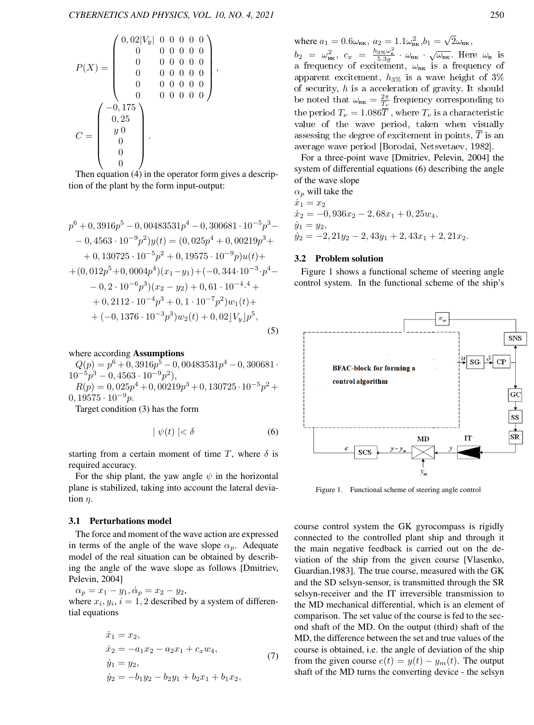,

$$
P(X) = \begin{pmatrix} 0,02|V_y| & 0 & 0 & 0 & 0 & 0 \\ 0 & 0 & 0 & 0 & 0 & 0 & 0 \\ 0 & 0 & 0 & 0 & 0 & 0 & 0 \\ 0 & 0 & 0 & 0 & 0 & 0 & 0 \\ 0 & 0 & 0 & 0 & 0 & 0 & 0 \\ 0 & 0 & 0 & 0 & 0 & 0 & 0 \end{pmatrix}
$$

$$
C = \begin{pmatrix} -0,175 \\ 0,25 \\ y & 0 \\ 0 \\ 0 \\ 0 \\ 0 \end{pmatrix}.
$$

Then equation (4) in the operator form gives a description of the plant by the form input-output:

$$
p^{6} + 0,3916p^{5} - 0,00483531p^{4} - 0,300681 \cdot 10^{-5}p^{3} -
$$
  
\n
$$
- 0,4563 \cdot 10^{-9}p^{2})y(t) = (0,025p^{4} + 0,00219p^{3} +
$$
  
\n
$$
+ 0,130725 \cdot 10^{-5}p^{2} + 0,19575 \cdot 10^{-9}p)u(t) +
$$
  
\n
$$
+ (0,012p^{5} + 0,0004p^{4})(x_{1} - y_{1}) + (-0,344 \cdot 10^{-3} \cdot p^{4} -
$$
  
\n
$$
- 0,2 \cdot 10^{-6}p^{3})(x_{2} - y_{2}) + 0,61 \cdot 10^{-4} \cdot 4 +
$$
  
\n
$$
+ 0,2112 \cdot 10^{-4}p^{3} + 0,1 \cdot 10^{-7}p^{2})w_{1}(t) +
$$
  
\n
$$
+ (-0,1376 \cdot 10^{-3}p^{3})w_{2}(t) + 0,02]V_{y}]p^{5},
$$
  
\n(5)

where according Assumptions

 $Q(p) = p^6 + 0,3916p^5 - 0,00483531p^4 - 0,300681$  $10^{-5}p^3 - 0,4563 \cdot 10^{-9}p^2$ 

 $R(p) = 0,025p^{4} + 0,00219p^{3} + 0,130725 \cdot 10^{-5}p^{2} +$  $0, 19575 \cdot 10^{-9} p.$ 

Target condition (3) has the form

$$
|\psi(t)| < \delta \tag{6}
$$

starting from a certain moment of time T, where  $\delta$  is required accuracy.

For the ship plant, the yaw angle  $\psi$  in the horizontal plane is stabilized, taking into account the lateral deviation  $\eta$ .

#### 3.1 Perturbations model

The force and moment of the wave action are expressed in terms of the angle of the wave slope  $\alpha_p$ . Adequate model of the real situation can be obtained by describing the angle of the wave slope as follows [Dmitriev, Pelevin, 2004]

 $\alpha_p = x_1 - y_1, \dot{\alpha}_p = x_2 - y_2,$ 

where  $x_i, y_i, i = 1, 2$  described by a system of differential equations

$$
\begin{aligned}\n\dot{x}_1 &= x_2, \\
\dot{x}_2 &= -a_1 x_2 - a_2 x_1 + c_x w_4, \\
\dot{y}_1 &= y_2, \\
\dot{y}_2 &= -b_1 y_2 - b_2 y_1 + b_2 x_1 + b_1 x_2,\n\end{aligned} \tag{7}
$$

where 
$$
a_1 = 0.6\omega_{\text{BK}}
$$
,  $a_2 = 1.1\omega_{\text{BK}}^2$ ,  $b_1 = \sqrt{2}\omega_{\text{BK}}$ ,

 $b_2 = \omega_{\text{BK}}^2$ ,  $c_x = \frac{h_{3\%}\omega_{\text{B}}^2}{5.3g} \cdot \omega_{\text{BK}} \cdot \sqrt{\omega_{\text{BK}}}$ . Here  $\omega_{\text{B}}$  is a frequency of excitement,  $\omega_{\text{\tiny{BK}}}$  is a frequency of apparent excitement,  $h_{3\%}$  is a wave height of  $3\%$ of security,  $h$  is a acceleration of gravity. It should be noted that  $\omega_{\text{\tiny{BK}}} = \frac{2\pi}{T_{\nu}}$  frequency corresponding to the period  $T_{\nu} = 1.086 \overline{T}$ , where  $T_{\nu}$  is a characteristic value of the wave period, taken when visually assessing the degree of excitement in points,  $\overline{T}$  is an average wave period [Borodai, Netsvetaev, 1982].

For a three-point wave [Dmitriev, Pelevin, 2004] the system of differential equations (6) describing the angle of the wave slope

 $\alpha_p$  will take the  $\dot{x}_1 = x_2$  $\dot{x}_2 = -0,936x_2 - 2,68x_1 + 0,25w_4,$  $\dot{y}_1 = y_2,$  $y_2 = -2, 21y_2 - 2, 43y_1 + 2, 43x_1 + 2, 21x_2.$ 

## 3.2 Problem solution

Figure 1 shows a functional scheme of steering angle control system. In the functional scheme of the ship's



Figure 1. Functional scheme of steering angle control

course control system the GK gyrocompass is rigidly connected to the controlled plant ship and through it the main negative feedback is carried out on the deviation of the ship from the given course [Vlasenko, Guardian,1983]. The true course, measured with the GK and the SD selsyn-sensor, is transmitted through the SR selsyn-receiver and the IT irreversible transmission to the MD mechanical differential, which is an element of comparison. The set value of the course is fed to the second shaft of the MD. On the output (third) shaft of the MD, the difference between the set and true values of the course is obtained, i.e. the angle of deviation of the ship from the given course  $e(t) = y(t) - y_m(t)$ . The output shaft of the MD turns the converting device - the selsyn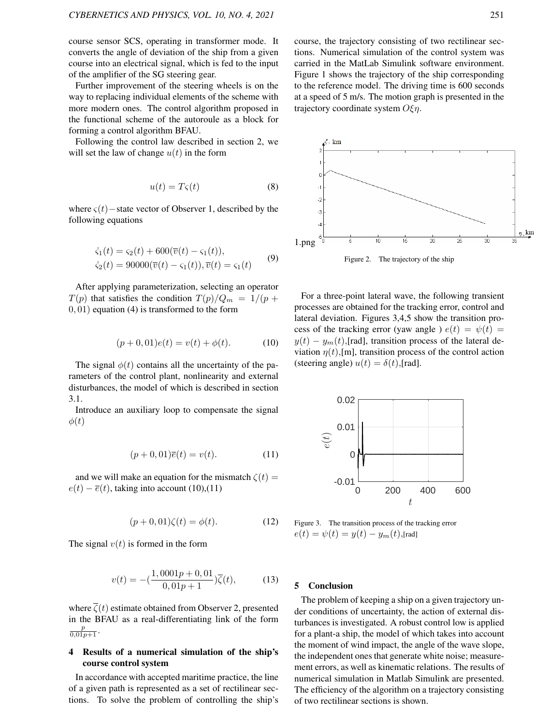course sensor SCS, operating in transformer mode. It converts the angle of deviation of the ship from a given course into an electrical signal, which is fed to the input of the amplifier of the SG steering gear.

Further improvement of the steering wheels is on the way to replacing individual elements of the scheme with more modern ones. The control algorithm proposed in the functional scheme of the autoroule as a block for forming a control algorithm BFAU.

Following the control law described in section 2, we will set the law of change  $u(t)$  in the form

$$
u(t) = T\varsigma(t) \tag{8}
$$

where  $\varsigma(t)$  – state vector of Observer 1, described by the following equations

$$
\begin{aligned} \n\dot{\varsigma}_1(t) &= \varsigma_2(t) + 600(\overline{v}(t) - \varsigma_1(t)), \\ \n\dot{\varsigma}_2(t) &= 90000(\overline{v}(t) - \varsigma_1(t)), \overline{v}(t) = \varsigma_1(t) \n\end{aligned} \tag{9}
$$

After applying parameterization, selecting an operator  $T(p)$  that satisfies the condition  $T(p)/Q_m = 1/(p +$ 0, 01) equation (4) is transformed to the form

$$
(p+0,01)e(t) = v(t) + \phi(t).
$$
 (10)

The signal  $\phi(t)$  contains all the uncertainty of the parameters of the control plant, nonlinearity and external disturbances, the model of which is described in section 3.1.

Introduce an auxiliary loop to compensate the signal  $\phi(t)$ 

$$
(p+0,01)\overline{e}(t) = v(t). \tag{11}
$$

and we will make an equation for the mismatch  $\zeta(t)$  =  $e(t) - \overline{e}(t)$ , taking into account (10),(11)

$$
(p+0,01)\zeta(t) = \phi(t). \tag{12}
$$

The signal  $v(t)$  is formed in the form

$$
v(t) = -\left(\frac{1,0001p + 0,01}{0,01p + 1}\right)\overline{\zeta}(t),\tag{13}
$$

where  $\overline{\zeta}(t)$  estimate obtained from Observer 2, presented in the BFAU as a real-differentiating link of the form  $\frac{p}{0,01p+1}$ .

# 4 Results of a numerical simulation of the ship's course control system

In accordance with accepted maritime practice, the line of a given path is represented as a set of rectilinear sections. To solve the problem of controlling the ship's course, the trajectory consisting of two rectilinear sections. Numerical simulation of the control system was carried in the MatLab Simulink software environment. Figure 1 shows the trajectory of the ship corresponding to the reference model. The driving time is 600 seconds at a speed of 5 m/s. The motion graph is presented in the trajectory coordinate system  $O \xi n$ .



For a three-point lateral wave, the following transient processes are obtained for the tracking error, control and lateral deviation. Figures 3,4,5 show the transition process of the tracking error (yaw angle )  $e(t) = \psi(t) =$  $y(t) - y_m(t)$ , [rad], transition process of the lateral deviation  $\eta(t)$ ,[m], transition process of the control action (steering angle)  $u(t) = \delta(t)$ ,[rad].



Figure 3. The transition process of the tracking error  $e(t) = \psi(t) = y(t) - y_m(t)$ ,[rad]

## 5 Conclusion

The problem of keeping a ship on a given trajectory under conditions of uncertainty, the action of external disturbances is investigated. A robust control low is applied for a plant-a ship, the model of which takes into account the moment of wind impact, the angle of the wave slope, the independent ones that generate white noise; measurement errors, as well as kinematic relations. The results of numerical simulation in Matlab Simulink are presented. The efficiency of the algorithm on a trajectory consisting of two rectilinear sections is shown.